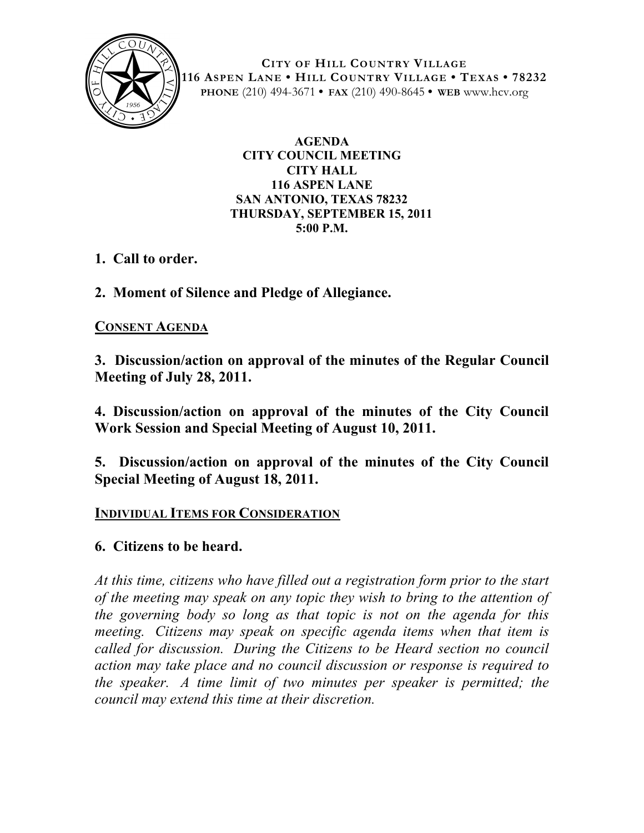

**CITY OF HILL COUNTRY VILLAGE 116 ASPEN LANE • HILL COUNTRY VILLAGE • TEXAS • 78232 PHONE** (210) 494-3671 **• FAX** (210) 490-8645 **• WEB** www.hcv.org

> **AGENDA CITY COUNCIL MEETING CITY HALL 116 ASPEN LANE SAN ANTONIO, TEXAS 78232 THURSDAY, SEPTEMBER 15, 2011 5:00 P.M.**

- **1. Call to order.**
- **2. Moment of Silence and Pledge of Allegiance.**

## **CONSENT AGENDA**

**3. Discussion/action on approval of the minutes of the Regular Council Meeting of July 28, 2011.**

**4. Discussion/action on approval of the minutes of the City Council Work Session and Special Meeting of August 10, 2011.**

**5. Discussion/action on approval of the minutes of the City Council Special Meeting of August 18, 2011.** 

### **INDIVIDUAL ITEMS FOR CONSIDERATION**

# **6. Citizens to be heard.**

*At this time, citizens who have filled out a registration form prior to the start of the meeting may speak on any topic they wish to bring to the attention of the governing body so long as that topic is not on the agenda for this meeting. Citizens may speak on specific agenda items when that item is called for discussion. During the Citizens to be Heard section no council action may take place and no council discussion or response is required to the speaker. A time limit of two minutes per speaker is permitted; the council may extend this time at their discretion.*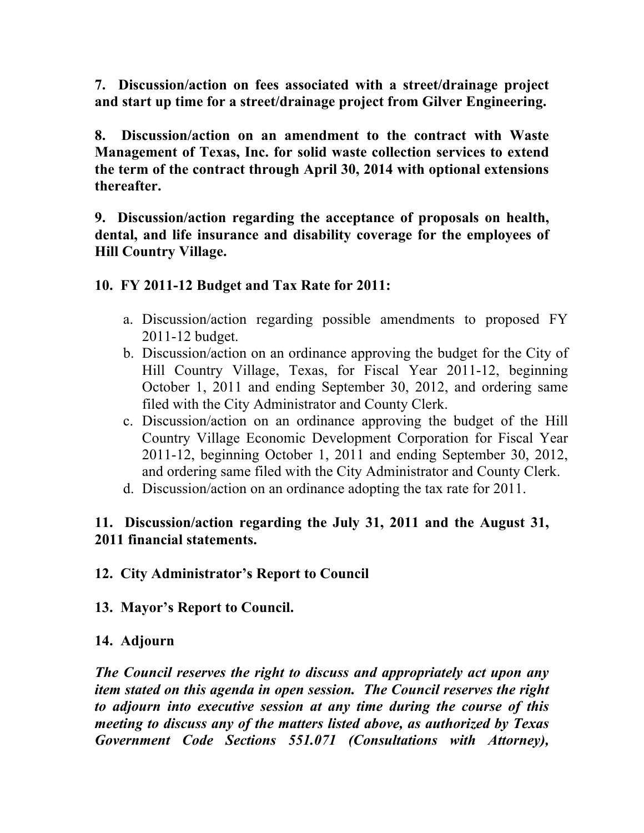**7. Discussion/action on fees associated with a street/drainage project and start up time for a street/drainage project from Gilver Engineering.**

**8. Discussion/action on an amendment to the contract with Waste Management of Texas, Inc. for solid waste collection services to extend the term of the contract through April 30, 2014 with optional extensions thereafter.**

**9. Discussion/action regarding the acceptance of proposals on health, dental, and life insurance and disability coverage for the employees of Hill Country Village.**

## **10. FY 2011-12 Budget and Tax Rate for 2011:**

- a. Discussion/action regarding possible amendments to proposed FY 2011-12 budget.
- b. Discussion/action on an ordinance approving the budget for the City of Hill Country Village, Texas, for Fiscal Year 2011-12, beginning October 1, 2011 and ending September 30, 2012, and ordering same filed with the City Administrator and County Clerk.
- c. Discussion/action on an ordinance approving the budget of the Hill Country Village Economic Development Corporation for Fiscal Year 2011-12, beginning October 1, 2011 and ending September 30, 2012, and ordering same filed with the City Administrator and County Clerk.
- d. Discussion/action on an ordinance adopting the tax rate for 2011.

# **11. Discussion/action regarding the July 31, 2011 and the August 31, 2011 financial statements.**

### **12. City Administrator's Report to Council**

**13. Mayor's Report to Council.**

# **14. Adjourn**

*The Council reserves the right to discuss and appropriately act upon any item stated on this agenda in open session. The Council reserves the right to adjourn into executive session at any time during the course of this meeting to discuss any of the matters listed above, as authorized by Texas Government Code Sections 551.071 (Consultations with Attorney),*